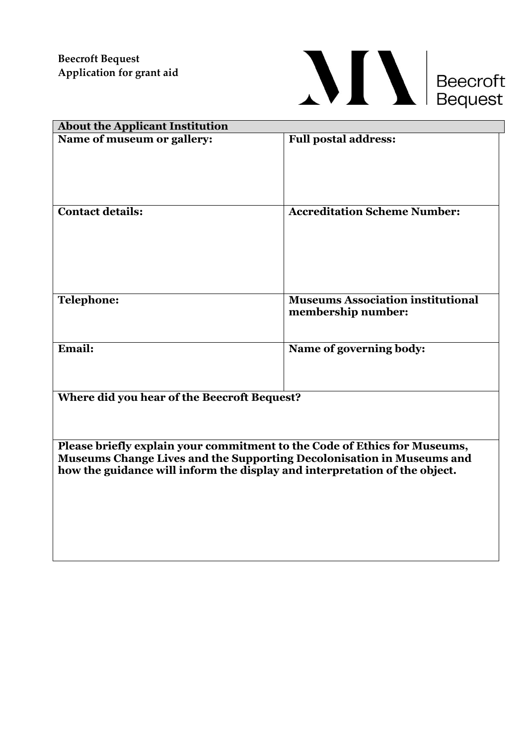

| <b>About the Applicant Institution</b>                                                                                                              |                                          |  |
|-----------------------------------------------------------------------------------------------------------------------------------------------------|------------------------------------------|--|
| Name of museum or gallery:                                                                                                                          | <b>Full postal address:</b>              |  |
|                                                                                                                                                     |                                          |  |
|                                                                                                                                                     |                                          |  |
|                                                                                                                                                     |                                          |  |
| <b>Contact details:</b>                                                                                                                             | <b>Accreditation Scheme Number:</b>      |  |
|                                                                                                                                                     |                                          |  |
|                                                                                                                                                     |                                          |  |
|                                                                                                                                                     |                                          |  |
| <b>Telephone:</b>                                                                                                                                   | <b>Museums Association institutional</b> |  |
|                                                                                                                                                     | membership number:                       |  |
|                                                                                                                                                     |                                          |  |
| Email:                                                                                                                                              | Name of governing body:                  |  |
|                                                                                                                                                     |                                          |  |
| Where did you hear of the Beecroft Bequest?                                                                                                         |                                          |  |
|                                                                                                                                                     |                                          |  |
|                                                                                                                                                     |                                          |  |
| Please briefly explain your commitment to the Code of Ethics for Museums,                                                                           |                                          |  |
| Museums Change Lives and the Supporting Decolonisation in Museums and<br>how the guidance will inform the display and interpretation of the object. |                                          |  |
|                                                                                                                                                     |                                          |  |
|                                                                                                                                                     |                                          |  |
|                                                                                                                                                     |                                          |  |
|                                                                                                                                                     |                                          |  |
|                                                                                                                                                     |                                          |  |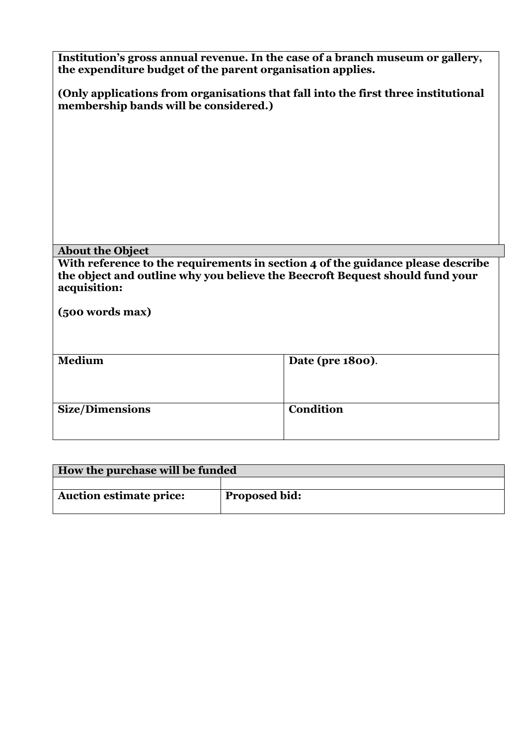| Institution's gross annual revenue. In the case of a branch museum or gallery,<br>the expenditure budget of the parent organisation applies.                                    |                  |  |
|---------------------------------------------------------------------------------------------------------------------------------------------------------------------------------|------------------|--|
| (Only applications from organisations that fall into the first three institutional<br>membership bands will be considered.)                                                     |                  |  |
|                                                                                                                                                                                 |                  |  |
|                                                                                                                                                                                 |                  |  |
|                                                                                                                                                                                 |                  |  |
|                                                                                                                                                                                 |                  |  |
| <b>About the Object</b>                                                                                                                                                         |                  |  |
| With reference to the requirements in section 4 of the guidance please describe<br>the object and outline why you believe the Beecroft Bequest should fund your<br>acquisition: |                  |  |
| (500 words max)                                                                                                                                                                 |                  |  |
|                                                                                                                                                                                 |                  |  |
| Medium                                                                                                                                                                          | Date (pre 1800). |  |
|                                                                                                                                                                                 |                  |  |
| <b>Size/Dimensions</b>                                                                                                                                                          | <b>Condition</b> |  |

| How the purchase will be funded |                      |
|---------------------------------|----------------------|
|                                 |                      |
| <b>Auction estimate price:</b>  | <b>Proposed bid:</b> |
|                                 |                      |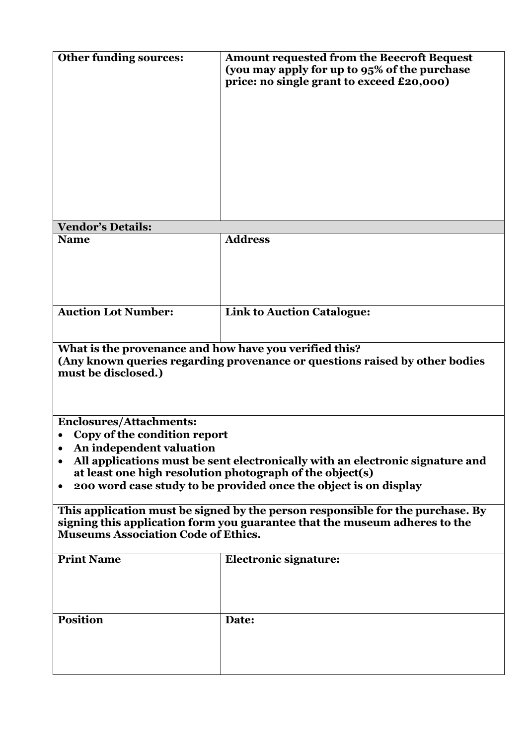| <b>Other funding sources:</b>                                                                                                                                                                                 | <b>Amount requested from the Beecroft Bequest</b><br>(you may apply for up to 95% of the purchase<br>price: no single grant to exceed £20,000) |  |
|---------------------------------------------------------------------------------------------------------------------------------------------------------------------------------------------------------------|------------------------------------------------------------------------------------------------------------------------------------------------|--|
| <b>Vendor's Details:</b><br><b>Name</b>                                                                                                                                                                       | <b>Address</b>                                                                                                                                 |  |
|                                                                                                                                                                                                               |                                                                                                                                                |  |
| <b>Auction Lot Number:</b>                                                                                                                                                                                    | <b>Link to Auction Catalogue:</b>                                                                                                              |  |
| What is the provenance and how have you verified this?<br>(Any known queries regarding provenance or questions raised by other bodies<br>must be disclosed.)                                                  |                                                                                                                                                |  |
| <b>Enclosures/Attachments:</b>                                                                                                                                                                                |                                                                                                                                                |  |
| Copy of the condition report                                                                                                                                                                                  |                                                                                                                                                |  |
| An independent valuation                                                                                                                                                                                      |                                                                                                                                                |  |
| All applications must be sent electronically with an electronic signature and<br>at least one high resolution photograph of the object(s)<br>200 word case study to be provided once the object is on display |                                                                                                                                                |  |
|                                                                                                                                                                                                               |                                                                                                                                                |  |
| This application must be signed by the person responsible for the purchase. By<br>signing this application form you guarantee that the museum adheres to the<br><b>Museums Association Code of Ethics.</b>    |                                                                                                                                                |  |
| <b>Print Name</b>                                                                                                                                                                                             | <b>Electronic signature:</b>                                                                                                                   |  |
| <b>Position</b>                                                                                                                                                                                               | Date:                                                                                                                                          |  |